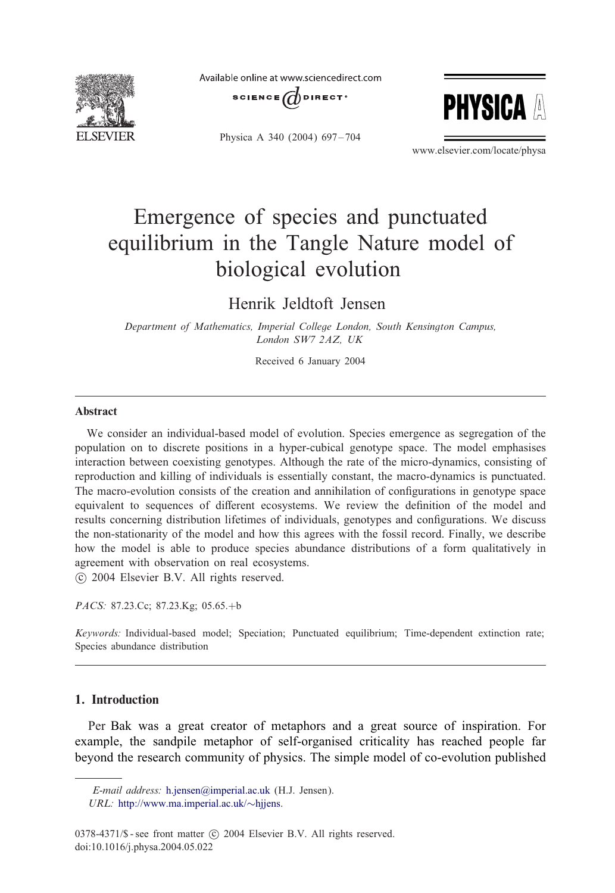

Available online at www.sciencedirect.com





Physica A 340 (2004) 697-704

www.elsevier.com/locate/physa

# Emergence of species and punctuated equilibrium inthe Tangle Nature model of biological evolution

# Henrik Jeldtoft Jensen

*Department of Mathematics, Imperial College London, South Kensington Campus, London SW7 2AZ, UK*

Received 6 January 2004

#### **Abstract**

We consider an individual-based model of evolution. Species emergence as segregation of the population on to discrete positions in a hyper-cubical genotype space. The model emphasises interaction between coexisting genotypes. Although the rate of the micro-dynamics, consisting of reproduction and killing of individuals is essentially constant, the macro-dynamics is punctuated. The macro-evolution consists of the creation and annihilation of configurations in genotype space equivalent to sequences of different ecosystems. We review the definition of the model and results concerning distribution lifetimes of individuals, genotypes and configurations. We discuss the non-stationarity of the model and how this agrees with the fossil record. Finally, we describe how the model is able to produce species abundance distributions of a form qualitatively in agreement with observation on real ecosystems.

c 2004 Elsevier B.V. All rights reserved.

*PACS:* 87.23.Cc; 87.23.Kg; 05.65.+b

*Keywords:* Individual-based model; Speciation; Punctuated equilibrium; Time-dependent extinction rate; Species abundance distribution

# 1. Introduction

Per Bak was a great creator of metaphors and a great source of inspiration. For example, the sandpile metaphor of self-organised criticality has reached people far beyond the research community of physics. The simple model of co-evolution published

*E-mail address:* [h.jensen@imperial.ac.uk](mailto:h.jensen@imperial.ac.uk) (H.J. Jensen).

*URL:* [http://www.ma.imperial.ac.uk/](http://www.ma.imperial.ac.uk/~hjjens)∼hjjens.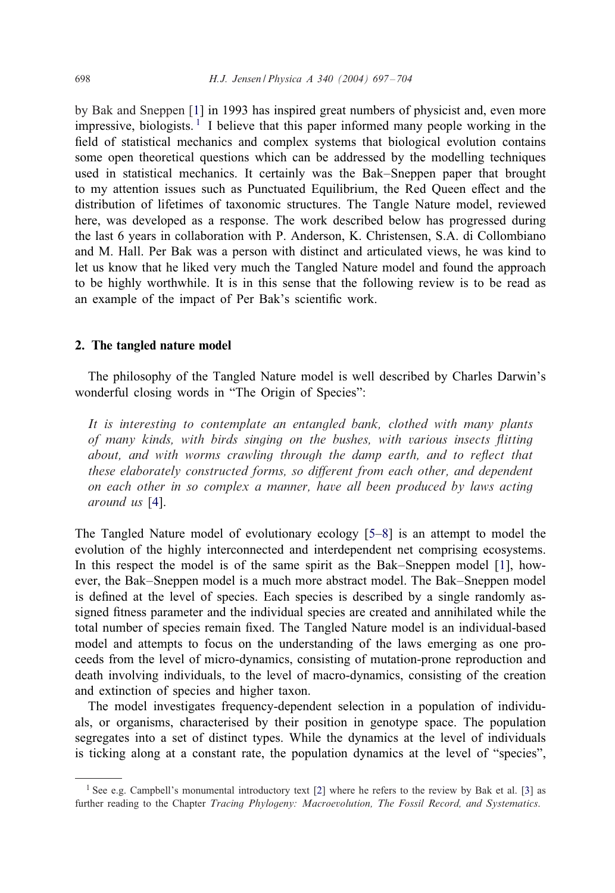by Bak and Sneppen [\[1\]](#page-7-0) in 1993 has inspired great numbers of physicist and, even more impressive, biologists.<sup>1</sup> I believe that this paper informed many people working in the 1eld of statistical mechanics and complex systems that biological evolution contains some open theoretical questions which can be addressed by the modelling techniques used in statistical mechanics. It certainly was the Bak–Sneppen paper that brought to my attention issues such as Punctuated Equilibrium, the Red Queen effect and the distribution of lifetimes of taxonomic structures. The Tangle Nature model, reviewed here, was developed as a response. The work described below has progressed during the last 6 years in collaboration with P. Anderson, K. Christensen, S.A. di Collombiano and M. Hall. Per Bak was a person with distinct and articulated views, he was kind to let us know that he liked very much the Tangled Nature model and found the approach to be highly worthwhile. It is in this sense that the following review is to be read as an example of the impact of Per Bak's scientific work.

#### 2. The tangled nature model

The philosophy of the Tangled Nature model is well described by Charles Darwin's wonderful closing words in "The Origin of Species":

*It is interesting to contemplate an entangled bank, clothed with many plants of many kinds, with birds singing on the bushes, with various insects 6itting about, and with worms crawling through the damp earth, and to reflect that these elaborately constructed forms, so different from each other, and dependent on each other in so complex a manner, have all been produced by laws acting around us* [\[4\]](#page-7-0).

The Tangled Nature model of evolutionary ecology [\[5–8\]](#page-7-0) is anattempt to model the evolution of the highly interconnected and interdependent net comprising ecosystems. In this respect the model is of the same spirit as the Bak–Sneppen model [\[1\]](#page-7-0), however, the Bak–Sneppen model is a much more abstract model. The Bak–Sneppen model is defined at the level of species. Each species is described by a single randomly assigned fitness parameter and the individual species are created and annihilated while the total number of species remain 1xed. The Tangled Nature model is an individual-based model and attempts to focus on the understanding of the laws emerging as one proceeds from the level of micro-dynamics, consisting of mutation-prone reproduction and death involving individuals, to the level of macro-dynamics, consisting of the creation and extinction of species and higher taxon.

The model investigates frequency-dependent selection in a population of individuals, or organisms, characterised by their position in genotype space. The population segregates into a set of distinct types. While the dynamics at the level of individuals is ticking along at a constant rate, the population dynamics at the level of "species",

<sup>&</sup>lt;sup>1</sup> See e.g. Campbell's monumental introductory text [\[2\]](#page-7-0) where he refers to the review by Bak et al. [\[3\]](#page-7-0) as further reading to the Chapter *Tracing Phylogeny: Macroevolution, The Fossil Record, and Systematics*.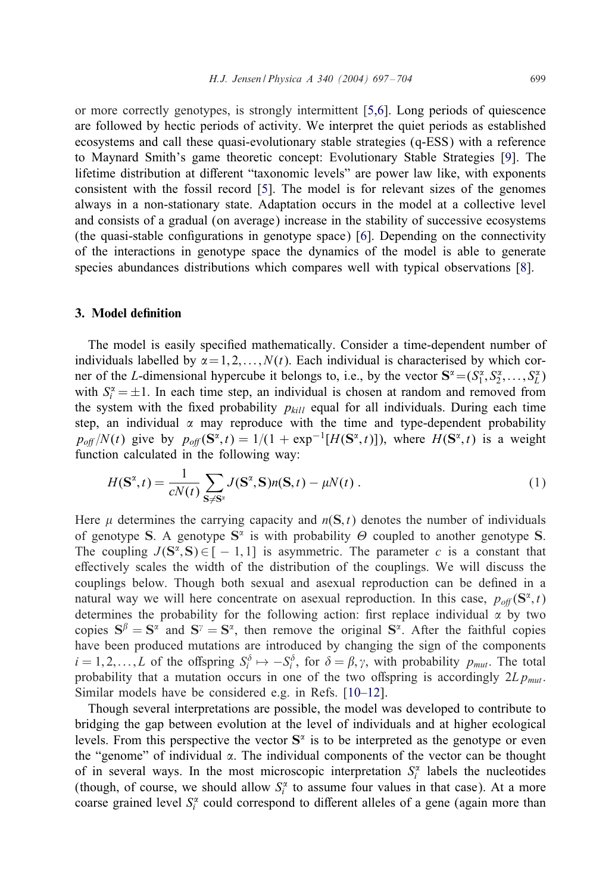<span id="page-2-0"></span>or more correctly genotypes, is strongly intermittent [\[5,6\]](#page-7-0). Long periods of quiescence are followed by hectic periods of activity. We interpret the quiet periods as established ecosystems and call these quasi-evolutionary stable strategies (q-ESS) with a reference to Maynard Smith's game theoretic concept: Evolutionary Stable Strategies [\[9\]](#page-7-0). The lifetime distribution at different "taxonomic levels" are power law like, with exponents consistent with the fossil record [\[5\]](#page-7-0). The model is for relevant sizes of the genomes always in a non-stationary state. Adaptation occurs in the model at a collective level and consists of a gradual (on average) increase in the stability of successive ecosystems (the quasi-stable configurations in genotype space)  $[6]$ . Depending on the connectivity of the interactions in genotype space the dynamics of the model is able to generate species abundances distributions which compares well with typical observations [\[8\]](#page-7-0).

## 3. Model definition

The model is easily specified mathematically. Consider a time-dependent number of individuals labelled by  $\alpha = 1, 2, \ldots, N(t)$ . Each individual is characterised by which corner of the L-dimensional hypercube it belongs to, i.e., by the vector  $S^{\alpha} = (S_1^{\alpha}, S_2^{\alpha}, \dots, S_L^{\alpha})$ with  $S_i^{\alpha} = \pm 1$ . In each time step, an individual is chosen at random and removed from the system with the fixed probability  $p_{kill}$  equal for all individuals. During each time step, an individual  $\alpha$  may reproduce with the time and type-dependent probability  $p_{off}/N(t)$  give by  $p_{off}(S^{\alpha}, t) = 1/(1 + \exp^{-1}[H(S^{\alpha}, t)])$ , where  $H(S^{\alpha}, t)$  is a weight function calculated in the following way:

$$
H(\mathbf{S}^{\alpha},t) = \frac{1}{cN(t)}\sum_{\mathbf{S}\neq\mathbf{S}^{\alpha}}J(\mathbf{S}^{\alpha},\mathbf{S})n(\mathbf{S},t) - \mu N(t).
$$
 (1)

Here  $\mu$  determines the carrying capacity and  $n(S, t)$  denotes the number of individuals of genotype S. A genotype  $S^{\alpha}$  is with probability  $\Theta$  coupled to another genotype S. The coupling  $J(S^{\alpha}, S) \in [-1, 1]$  is asymmetric. The parameter c is a constant that effectively scales the width of the distribution of the couplings. We will discuss the couplings below. Though both sexual and asexual reproduction can be defined in a natural way we will here concentrate on asexual reproduction. In this case,  $p_{off}(S^{\alpha}, t)$ determines the probability for the following action: first replace individual  $\alpha$  by two copies  $S^{\beta} = S^{\alpha}$  and  $S^{\gamma} = S^{\alpha}$ , then remove the original  $S^{\alpha}$ . After the faithful copies have been produced mutations are introduced by changing the sign of the components  $i = 1, 2, \dots, L$  of the offspring  $S_i^{\delta} \mapsto -S_i^{\delta}$ , for  $\delta = \beta, \gamma$ , with probability  $p_{mut}$ . The total probability that a mutation occurs in one of the two offspring is accordingly  $2Lp_{mu}$ . Similar models have be considered e.g. in Refs. [\[10–12\]](#page-7-0).

Though several interpretations are possible, the model was developed to contribute to bridging the gap between evolution at the level of individuals and at higher ecological levels. From this perspective the vector  $S^{\alpha}$  is to be interpreted as the genotype or even the "genome" of individual  $\alpha$ . The individual components of the vector can be thought of in several ways. In the most microscopic interpretation  $S_i^{\alpha}$  labels the nucleotides (though, of course, we should allow  $S_i^{\alpha}$  to assume four values in that case). At a more coarse grained level  $S_i^{\alpha}$  could correspond to different alleles of a gene (again more than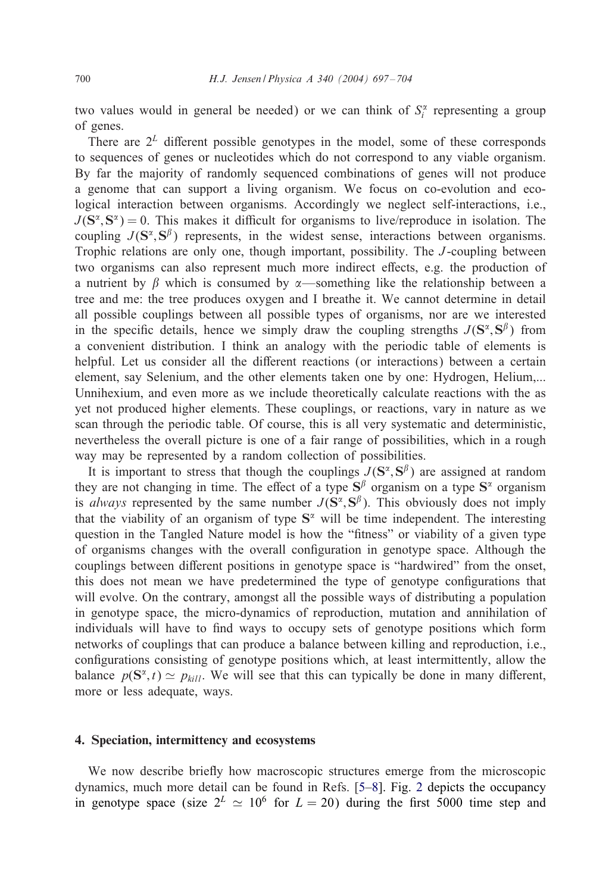two values would in general be needed) or we can think of  $S_i^{\alpha}$  representing a group of genes.

There are  $2^L$  different possible genotypes in the model, some of these corresponds to sequences of genes or nucleotides which do not correspond to any viable organism. By far the majority of randomly sequenced combinations of genes will not produce a genome that can support a living organism. We focus on co-evolution and ecological interaction between organisms. Accordingly we neglect self-interactions, i.e.,  $J(S^{\alpha}, S^{\alpha}) = 0$ . This makes it difficult for organisms to live/reproduce in isolation. The coupling  $J(S^{\alpha}, S^{\beta})$  represents, in the widest sense, interactions between organisms. Trophic relations are only one, though important, possibility. The *J*-coupling between two organisms can also represent much more indirect effects, e.g. the production of a nutrient by  $\beta$  which is consumed by  $\alpha$ —something like the relationship between a tree and me: the tree produces oxygen and I breathe it. We cannot determine in detail all possible couplings between all possible types of organisms, nor are we interested in the specific details, hence we simply draw the coupling strengths  $J(S^{\alpha}, S^{\beta})$  from a convenient distribution. I think an analogy with the periodic table of elements is helpful. Let us consider all the different reactions (or interactions) between a certain element, say Selenium, and the other elements taken one by one: Hydrogen, Helium,... Unnihexium, and even more as we include theoretically calculate reactions with the as yet not produced higher elements. These couplings, or reactions, vary in nature as we scan through the periodic table. Of course, this is all very systematic and deterministic, nevertheless the overall picture is one of a fair range of possibilities, which in a rough way may be represented by a random collection of possibilities.

It is important to stress that though the couplings  $J(\mathbf{S}^{\alpha}, \mathbf{S}^{\beta})$  are assigned at random they are not changing in time. The effect of a type  $S^{\beta}$  organism on a type  $S^{\alpha}$  organism is *always* represented by the same number  $J(S^{\alpha}, S^{\beta})$ . This obviously does not imply that the viability of an organism of type  $S^{\alpha}$  will be time independent. The interesting question in the Tangled Nature model is how the "fitness" or viability of a given type of organisms changes with the overall configuration in genotype space. Although the couplings between different positions in genotype space is "hardwired" from the onset, this does not mean we have predetermined the type of genotype configurations that will evolve. On the contrary, amongst all the possible ways of distributing a population in genotype space, the micro-dynamics of reproduction, mutation and annihilation of individuals will have to find ways to occupy sets of genotype positions which form networks of couplings that can produce a balance between killing and reproduction, i.e., configurations consisting of genotype positions which, at least intermittently, allow the balance  $p(S^{\alpha}, t) \simeq p_{kil}$ . We will see that this can typically be done in many different, more or less adequate, ways.

# 4. Speciation, intermittency and ecosystems

We now describe briefly how macroscopic structures emerge from the microscopic dynamics, much more detail can be found in Refs. [\[5–8\]](#page-7-0). Fig. [2](#page-4-0) depicts the occupancy in genotype space (size  $2^L \approx 10^6$  for  $L = 20$ ) during the first 5000 time step and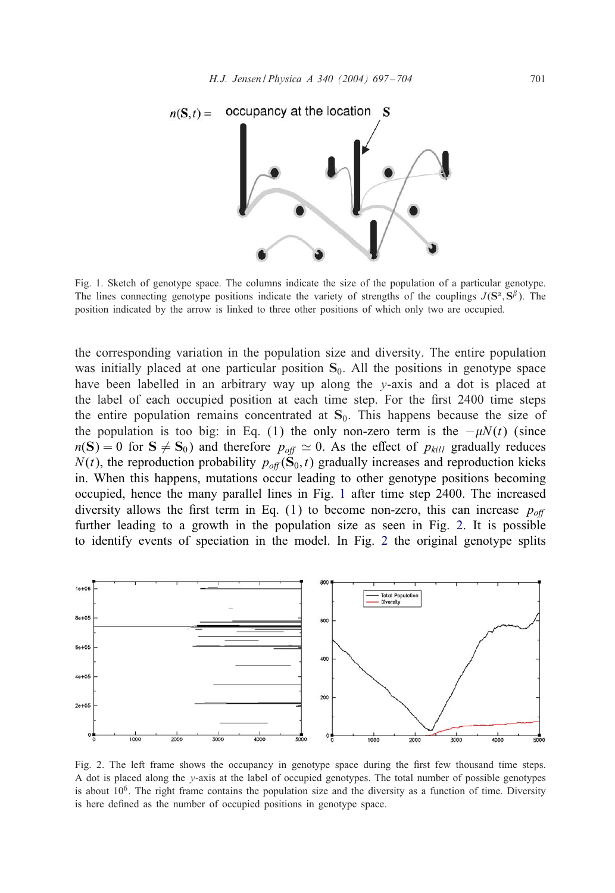<span id="page-4-0"></span>

Fig. 1. Sketch of genotype space. The columns indicate the size of the population of a particular genotype. The lines connecting genotype positions indicate the variety of strengths of the couplings  $J(\mathbf{S}^{\alpha}, \mathbf{S}^{\beta})$ . The position indicated by the arrow is linked to three other positions of which only two are occupied.

the corresponding variation in the population size and diversity. The entire population was initially placed at one particular position  $S_0$ . All the positions in genotype space have been labelled in an arbitrary way up along the  $y$ -axis and a dot is placed at the label of each occupied position at each time step. For the first 2400 time steps the entire population remains concentrated at  $S_0$ . This happens because the size of the population is too big: in Eq. [\(1\)](#page-2-0) the only non-zero term is the  $-\mu N(t)$  (since  $n(S) = 0$  for  $S \neq S_0$ ) and therefore  $p_{off} \simeq 0$ . As the effect of  $p_{kill}$  gradually reduces  $N(t)$ , the reproduction probability  $p_{off}(\mathbf{S}_0, t)$  gradually increases and reproduction kicks in. When this happens, mutations occur leading to other genotype positions becoming occupied, hence the many parallel lines in Fig. 1 after time step 2400. The increased diversity allows the first term in Eq.  $(1)$  to become non-zero, this can increase  $p_{off}$ further leading to a growth in the population size as seen in Fig. 2. It is possible to identify events of speciation in the model. In Fig. 2 the original genotype splits



Fig. 2. The left frame shows the occupancy in genotype space during the first few thousand time steps. A dot is placed along the y-axis at the label of occupied genotypes. The total number of possible genotypes is about  $10<sup>6</sup>$ . The right frame contains the population size and the diversity as a function of time. Diversity is here defined as the number of occupied positions in genotype space.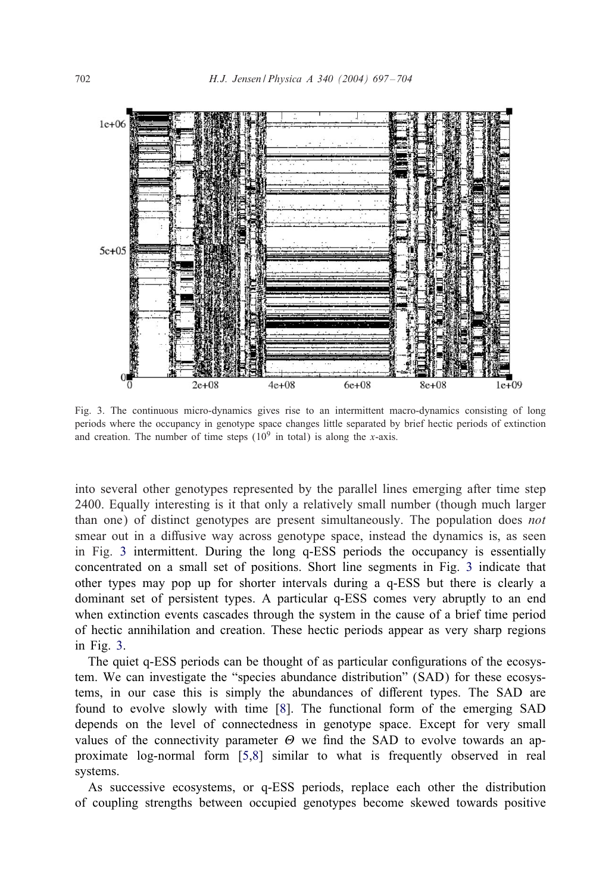

Fig. 3. The continuous micro-dynamics gives rise to an intermittent macro-dynamics consisting of long periods where the occupancy in genotype space changes little separated by brief hectic periods of extinction and creation. The number of time steps  $(10^9 \text{ in total})$  is along the x-axis.

into several other genotypes represented by the parallel lines emerging after time step 2400. Equally interesting is it that only a relatively small number (though much larger than one) of distinct genotypes are present simultaneously. The population does *not* smear out in a diffusive way across genotype space, instead the dynamics is, as seen in Fig. 3 intermittent. During the long q-ESS periods the occupancy is essentially concentrated on a small set of positions. Short line segments in Fig. 3 indicate that other types may pop up for shorter intervals during a q-ESS but there is clearly a dominant set of persistent types. A particular q-ESS comes very abruptly to an end when extinction events cascades through the system in the cause of a brief time period of hectic annihilation and creation. These hectic periods appear as very sharp regions in Fig.  $3$ .

The quiet q-ESS periods can be thought of as particular configurations of the ecosystem. We can investigate the "species abundance distribution" (SAD) for these ecosystems, in our case this is simply the abundances of different types. The SAD are found to evolve slowly with time [\[8\]](#page-7-0). The functional form of the emerging SAD depends on the level of connectedness in genotype space. Except for very small values of the connectivity parameter  $\Theta$  we find the SAD to evolve towards an approximate log-normal form [\[5,8\]](#page-7-0) similar to what is frequently observed in real systems.

As successive ecosystems, or q-ESS periods, replace each other the distribution of coupling strengths between occupied genotypes become skewed towards positive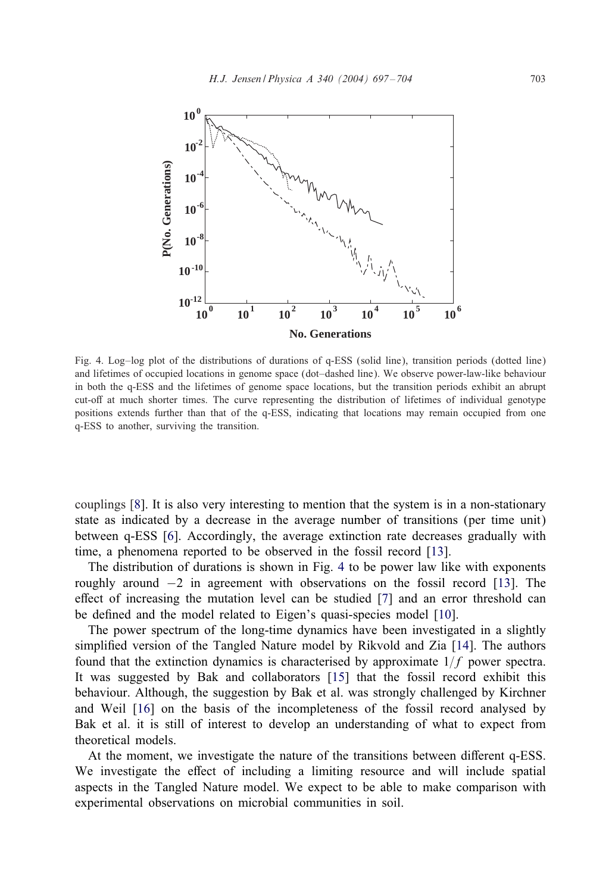

Fig. 4. Log–log plot of the distributions of durations of q-ESS (solid line), transition periods (dotted line) and lifetimes of occupied locations in genome space (dot–dashed line). We observe power-law-like behaviour in both the q-ESS and the lifetimes of genome space locations, but the transition periods exhibit an abrupt cut-off at much shorter times. The curve representing the distribution of lifetimes of individual genotype positions extends further than that of the q-ESS, indicating that locations may remain occupied from one q-ESS to another, surviving the transition.

couplings [\[8\]](#page-7-0). It is also very interesting to mention that the system is in a non-stationary state as indicated by a decrease in the average number of transitions (per time unit) between q-ESS [\[6\]](#page-7-0). Accordingly, the average extinction rate decreases gradually with time, a phenomena reported to be observed in the fossil record [\[13\]](#page-7-0).

The distribution of durations is shown in Fig. 4 to be power law like with exponents roughly around −2 in agreement with observations on the fossil record [\[13\]](#page-7-0). The effect of increasing the mutation level can be studied  $[7]$  and an error threshold can be defined and the model related to Eigen's quasi-species model [\[10\]](#page-7-0).

The power spectrum of the long-time dynamics have been investigated in a slightly simplified version of the Tangled Nature model by Rikvold and Zia [\[14\]](#page-7-0). The authors found that the extinction dynamics is characterised by approximate  $1/f$  power spectra. It was suggested by Bak and collaborators [\[15\]](#page-7-0) that the fossil record exhibit this behaviour. Although, the suggestion by Bak et al. was strongly challenged by Kirchner and Weil [\[16\]](#page-7-0) on the basis of the incompleteness of the fossil record analysed by Bak et al. it is still of interest to develop an understanding of what to expect from theoretical models.

At the moment, we investigate the nature of the transitions between different q-ESS. We investigate the effect of including a limiting resource and will include spatial aspects in the Tangled Nature model. We expect to be able to make comparison with experimental observations on microbial communities in soil.